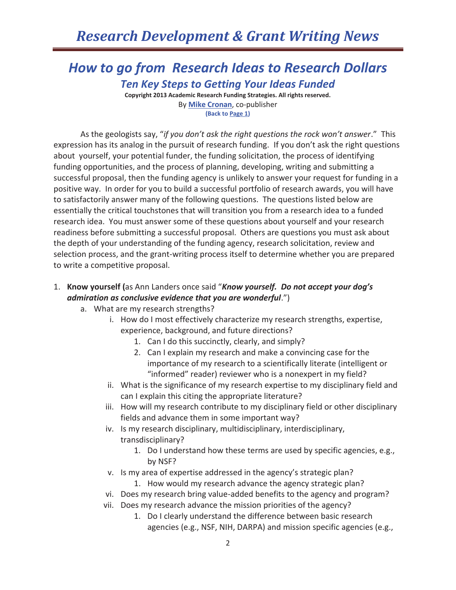### *How to go from Research Ideas to Research Dollars Ten Key Steps to Getting Your Ideas Funded*

**Copyright 2013 Academic Research Funding Strategies. All rights reserved.**  By **Mike Cronan**, co-publisher **(Back to Page 1)** 

As the geologists say, "*if you don't ask the right questions the rock won't answer*." This expression has its analog in the pursuit of research funding. If you don't ask the right questions about yourself, your potential funder, the funding solicitation, the process of identifying funding opportunities, and the process of planning, developing, writing and submitting a successful proposal, then the funding agency is unlikely to answer your request for funding in a positive way. In order for you to build a successful portfolio of research awards, you will have to satisfactorily answer many of the following questions. The questions listed below are essentially the critical touchstones that will transition you from a research idea to a funded research idea. You must answer some of these questions about yourself and your research readiness before submitting a successful proposal. Others are questions you must ask about the depth of your understanding of the funding agency, research solicitation, review and selection process, and the grant-writing process itself to determine whether you are prepared to write a competitive proposal.

- 1. **Know yourself (**as Ann Landers once said "*Know yourself. Do not accept your dog's admiration as conclusive evidence that you are wonderful*.")
	- a. What are my research strengths?
		- i. How do I most effectively characterize my research strengths, expertise, experience, background, and future directions?
			- 1. Can I do this succinctly, clearly, and simply?
			- 2. Can I explain my research and make a convincing case for the importance of my research to a scientifically literate (intelligent or "informed" reader) reviewer who is a nonexpert in my field?
		- ii. What is the significance of my research expertise to my disciplinary field and can I explain this citing the appropriate literature?
		- iii. How will my research contribute to my disciplinary field or other disciplinary fields and advance them in some important way?
		- iv. Is my research disciplinary, multidisciplinary, interdisciplinary, transdisciplinary?
			- 1. Do I understand how these terms are used by specific agencies, e.g., by NSF?
		- v. Is my area of expertise addressed in the agency's strategic plan?
			- 1. How would my research advance the agency strategic plan?
		- vi. Does my research bring value-added benefits to the agency and program?
		- vii. Does my research advance the mission priorities of the agency?
			- 1. Do I clearly understand the difference between basic research agencies (e.g., NSF, NIH, DARPA) and mission specific agencies (e.g.,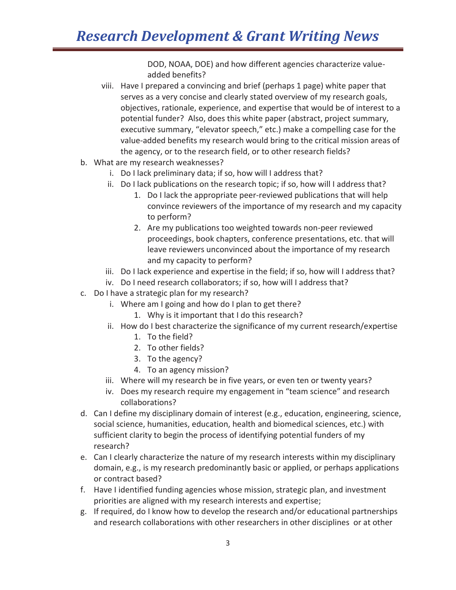DOD, NOAA, DOE) and how different agencies characterize valueadded benefits?

- viii. Have I prepared a convincing and brief (perhaps 1 page) white paper that serves as a very concise and clearly stated overview of my research goals, objectives, rationale, experience, and expertise that would be of interest to a potential funder? Also, does this white paper (abstract, project summary, executive summary, "elevator speech," etc.) make a compelling case for the value-added benefits my research would bring to the critical mission areas of the agency, or to the research field, or to other research fields?
- b. What are my research weaknesses?
	- i. Do I lack preliminary data; if so, how will I address that?
	- ii. Do I lack publications on the research topic; if so, how will I address that?
		- 1. Do I lack the appropriate peer-reviewed publications that will help convince reviewers of the importance of my research and my capacity to perform?
		- 2. Are my publications too weighted towards non-peer reviewed proceedings, book chapters, conference presentations, etc. that will leave reviewers unconvinced about the importance of my research and my capacity to perform?
	- iii. Do I lack experience and expertise in the field; if so, how will I address that?
	- iv. Do I need research collaborators; if so, how will I address that?
- c. Do I have a strategic plan for my research?
	- i. Where am I going and how do I plan to get there?
		- 1. Why is it important that I do this research?
	- ii. How do I best characterize the significance of my current research/expertise
		- 1. To the field?
		- 2. To other fields?
		- 3. To the agency?
		- 4. To an agency mission?
	- iii. Where will my research be in five years, or even ten or twenty years?
	- iv. Does my research require my engagement in "team science" and research collaborations?
- d. Can I define my disciplinary domain of interest (e.g., education, engineering, science, social science, humanities, education, health and biomedical sciences, etc.) with sufficient clarity to begin the process of identifying potential funders of my research?
- e. Can I clearly characterize the nature of my research interests within my disciplinary domain, e.g., is my research predominantly basic or applied, or perhaps applications or contract based?
- f. Have I identified funding agencies whose mission, strategic plan, and investment priorities are aligned with my research interests and expertise;
- g. If required, do I know how to develop the research and/or educational partnerships and research collaborations with other researchers in other disciplines or at other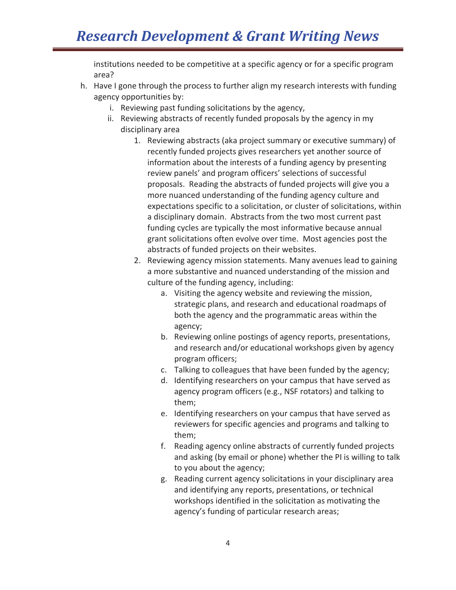institutions needed to be competitive at a specific agency or for a specific program area?

- h. Have I gone through the process to further align my research interests with funding agency opportunities by:
	- i. Reviewing past funding solicitations by the agency,
	- ii. Reviewing abstracts of recently funded proposals by the agency in my disciplinary area
		- 1. Reviewing abstracts (aka project summary or executive summary) of recently funded projects gives researchers yet another source of information about the interests of a funding agency by presenting review panels' and program officers' selections of successful proposals. Reading the abstracts of funded projects will give you a more nuanced understanding of the funding agency culture and expectations specific to a solicitation, or cluster of solicitations, within a disciplinary domain. Abstracts from the two most current past funding cycles are typically the most informative because annual grant solicitations often evolve over time. Most agencies post the abstracts of funded projects on their websites.
		- 2. Reviewing agency mission statements. Many avenues lead to gaining a more substantive and nuanced understanding of the mission and culture of the funding agency, including:
			- a. Visiting the agency website and reviewing the mission, strategic plans, and research and educational roadmaps of both the agency and the programmatic areas within the agency;
			- b. Reviewing online postings of agency reports, presentations, and research and/or educational workshops given by agency program officers;
			- c. Talking to colleagues that have been funded by the agency;
			- d. Identifying researchers on your campus that have served as agency program officers (e.g., NSF rotators) and talking to them;
			- e. Identifying researchers on your campus that have served as reviewers for specific agencies and programs and talking to them;
			- f. Reading agency online abstracts of currently funded projects and asking (by email or phone) whether the PI is willing to talk to you about the agency;
			- g. Reading current agency solicitations in your disciplinary area and identifying any reports, presentations, or technical workshops identified in the solicitation as motivating the agency's funding of particular research areas;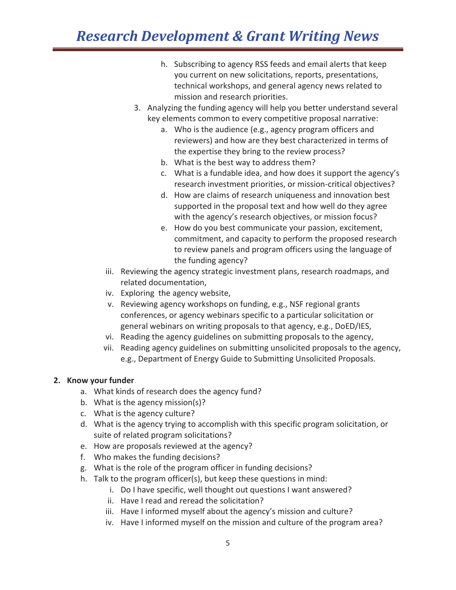- h. Subscribing to agency RSS feeds and email alerts that keep you current on new solicitations, reports, presentations, technical workshops, and general agency news related to mission and research priorities.
- 3. Analyzing the funding agency will help you better understand several key elements common to every competitive proposal narrative:
	- a. Who is the audience (e.g., agency program officers and reviewers) and how are they best characterized in terms of the expertise they bring to the review process?
	- b. What is the best way to address them?
	- c. What is a fundable idea, and how does it support the agency's research investment priorities, or mission-critical objectives?
	- d. How are claims of research uniqueness and innovation best supported in the proposal text and how well do they agree with the agency's research objectives, or mission focus?
	- e. How do you best communicate your passion, excitement, commitment, and capacity to perform the proposed research to review panels and program officers using the language of the funding agency?
- iii. Reviewing the agency strategic investment plans, research roadmaps, and related documentation,
- iv. Exploring the agency website,
- v. Reviewing agency workshops on funding, e.g., NSF regional grants conferences, or agency webinars specific to a particular solicitation or general webinars on writing proposals to that agency, e.g., DoED/IES,
- vi. Reading the agency guidelines on submitting proposals to the agency,
- vii. Reading agency guidelines on submitting unsolicited proposals to the agency, e.g., Department of Energy Guide to Submitting Unsolicited Proposals.

#### **2. Know your funder**

- a. What kinds of research does the agency fund?
- b. What is the agency mission(s)?
- c. What is the agency culture?
- d. What is the agency trying to accomplish with this specific program solicitation, or suite of related program solicitations?
- e. How are proposals reviewed at the agency?
- f. Who makes the funding decisions?
- g. What is the role of the program officer in funding decisions?
- h. Talk to the program officer(s), but keep these questions in mind:
	- i. Do I have specific, well thought out questions I want answered?
	- ii. Have I read and reread the solicitation?
	- iii. Have I informed myself about the agency's mission and culture?
	- iv. Have I informed myself on the mission and culture of the program area?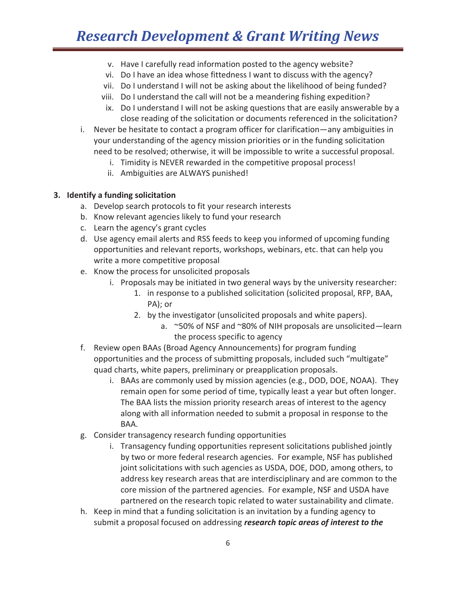- v. Have I carefully read information posted to the agency website?
- vi. Do I have an idea whose fittedness I want to discuss with the agency?
- vii. Do I understand I will not be asking about the likelihood of being funded?
- viii. Do I understand the call will not be a meandering fishing expedition?
- ix. Do I understand I will not be asking questions that are easily answerable by a close reading of the solicitation or documents referenced in the solicitation?
- i. Never be hesitate to contact a program officer for clarification—any ambiguities in your understanding of the agency mission priorities or in the funding solicitation need to be resolved; otherwise, it will be impossible to write a successful proposal.
	- i. Timidity is NEVER rewarded in the competitive proposal process!
	- ii. Ambiguities are ALWAYS punished!

#### **3. Identify a funding solicitation**

- a. Develop search protocols to fit your research interests
- b. Know relevant agencies likely to fund your research
- c. Learn the agency's grant cycles
- d. Use agency email alerts and RSS feeds to keep you informed of upcoming funding opportunities and relevant reports, workshops, webinars, etc. that can help you write a more competitive proposal
- e. Know the process for unsolicited proposals
	- i. Proposals may be initiated in two general ways by the university researcher:
		- 1. in response to a published solicitation (solicited proposal, RFP, BAA, PA); or
		- 2. by the investigator (unsolicited proposals and white papers).
			- a. ~50% of NSF and ~80% of NIH proposals are unsolicited—learn the process specific to agency
- f. Review open BAAs (Broad Agency Announcements) for program funding opportunities and the process of submitting proposals, included such "multigate" quad charts, white papers, preliminary or preapplication proposals.
	- i. BAAs are commonly used by mission agencies (e.g., DOD, DOE, NOAA). They remain open for some period of time, typically least a year but often longer. The BAA lists the mission priority research areas of interest to the agency along with all information needed to submit a proposal in response to the BAA.
- g. Consider transagency research funding opportunities
	- i. Transagency funding opportunities represent solicitations published jointly by two or more federal research agencies. For example, NSF has published joint solicitations with such agencies as USDA, DOE, DOD, among others, to address key research areas that are interdisciplinary and are common to the core mission of the partnered agencies. For example, NSF and USDA have partnered on the research topic related to water sustainability and climate.
- h. Keep in mind that a funding solicitation is an invitation by a funding agency to submit a proposal focused on addressing *research topic areas of interest to the*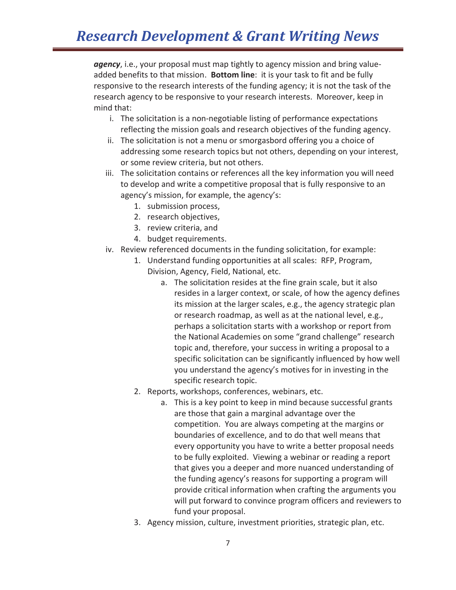*agency*, i.e., your proposal must map tightly to agency mission and bring valueadded benefits to that mission. **Bottom line**: it is your task to fit and be fully responsive to the research interests of the funding agency; it is not the task of the research agency to be responsive to your research interests. Moreover, keep in mind that:

- i. The solicitation is a non-negotiable listing of performance expectations reflecting the mission goals and research objectives of the funding agency.
- ii. The solicitation is not a menu or smorgasbord offering you a choice of addressing some research topics but not others, depending on your interest, or some review criteria, but not others.
- iii. The solicitation contains or references all the key information you will need to develop and write a competitive proposal that is fully responsive to an agency's mission, for example, the agency's:
	- 1. submission process,
	- 2. research objectives,
	- 3. review criteria, and
	- 4. budget requirements.
- iv. Review referenced documents in the funding solicitation, for example:
	- 1. Understand funding opportunities at all scales: RFP, Program, Division, Agency, Field, National, etc.
		- a. The solicitation resides at the fine grain scale, but it also resides in a larger context, or scale, of how the agency defines its mission at the larger scales, e.g., the agency strategic plan or research roadmap, as well as at the national level, e.g., perhaps a solicitation starts with a workshop or report from the National Academies on some "grand challenge" research topic and, therefore, your success in writing a proposal to a specific solicitation can be significantly influenced by how well you understand the agency's motives for in investing in the specific research topic.
	- 2. Reports, workshops, conferences, webinars, etc.
		- a. This is a key point to keep in mind because successful grants are those that gain a marginal advantage over the competition. You are always competing at the margins or boundaries of excellence, and to do that well means that every opportunity you have to write a better proposal needs to be fully exploited. Viewing a webinar or reading a report that gives you a deeper and more nuanced understanding of the funding agency's reasons for supporting a program will provide critical information when crafting the arguments you will put forward to convince program officers and reviewers to fund your proposal.
	- 3. Agency mission, culture, investment priorities, strategic plan, etc.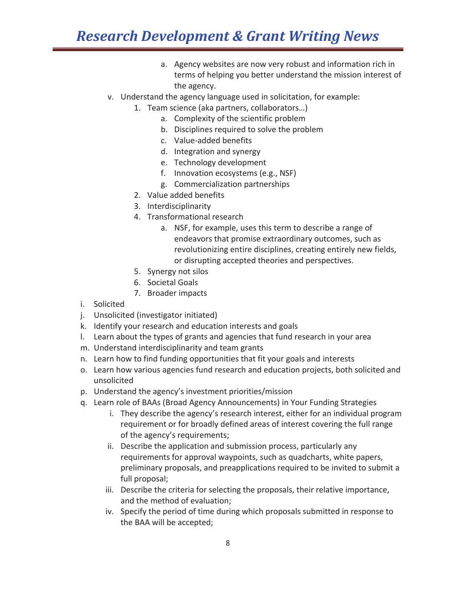- a. Agency websites are now very robust and information rich in terms of helping you better understand the mission interest of the agency.
- v. Understand the agency language used in solicitation, for example:
	- 1. Team science (aka partners, collaborators…)
		- a. Complexity of the scientific problem
		- b. Disciplines required to solve the problem
		- c. Value-added benefits
		- d. Integration and synergy
		- e. Technology development
		- f. Innovation ecosystems (e.g., NSF)
		- g. Commercialization partnerships
	- 2. Value added benefits
	- 3. Interdisciplinarity
	- 4. Transformational research
		- a. NSF, for example, uses this term to describe a range of endeavors that promise extraordinary outcomes, such as revolutionizing entire disciplines, creating entirely new fields, or disrupting accepted theories and perspectives.
	- 5. Synergy not silos
	- 6. Societal Goals
	- 7. Broader impacts
- i. Solicited
- j. Unsolicited (investigator initiated)
- k. Identify your research and education interests and goals
- l. Learn about the types of grants and agencies that fund research in your area
- m. Understand interdisciplinarity and team grants
- n. Learn how to find funding opportunities that fit your goals and interests
- o. Learn how various agencies fund research and education projects, both solicited and unsolicited
- p. Understand the agency's investment priorities/mission
- q. Learn role of BAAs (Broad Agency Announcements) in Your Funding Strategies
	- i. They describe the agency's research interest, either for an individual program requirement or for broadly defined areas of interest covering the full range of the agency's requirements;
	- ii. Describe the application and submission process, particularly any requirements for approval waypoints, such as quadcharts, white papers, preliminary proposals, and preapplications required to be invited to submit a full proposal;
	- iii. Describe the criteria for selecting the proposals, their relative importance, and the method of evaluation;
	- iv. Specify the period of time during which proposals submitted in response to the BAA will be accepted;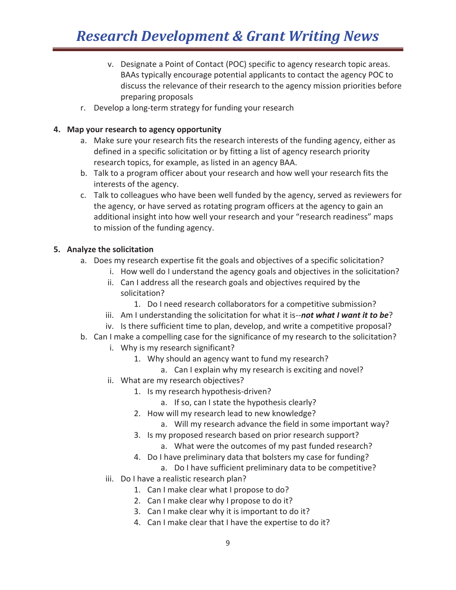- v. Designate a Point of Contact (POC) specific to agency research topic areas. BAAs typically encourage potential applicants to contact the agency POC to discuss the relevance of their research to the agency mission priorities before preparing proposals
- r. Develop a long-term strategy for funding your research

#### **4. Map your research to agency opportunity**

- a. Make sure your research fits the research interests of the funding agency, either as defined in a specific solicitation or by fitting a list of agency research priority research topics, for example, as listed in an agency BAA.
- b. Talk to a program officer about your research and how well your research fits the interests of the agency.
- c. Talk to colleagues who have been well funded by the agency, served as reviewers for the agency, or have served as rotating program officers at the agency to gain an additional insight into how well your research and your "research readiness" maps to mission of the funding agency.

#### **5. Analyze the solicitation**

- a. Does my research expertise fit the goals and objectives of a specific solicitation?
	- i. How well do I understand the agency goals and objectives in the solicitation?
	- ii. Can I address all the research goals and objectives required by the solicitation?
		- 1. Do I need research collaborators for a competitive submission?
	- iii. Am I understanding the solicitation for what it is--not what I want it to be?
	- iv. Is there sufficient time to plan, develop, and write a competitive proposal?
- b. Can I make a compelling case for the significance of my research to the solicitation?
	- i. Why is my research significant?
		- 1. Why should an agency want to fund my research?
			- a. Can I explain why my research is exciting and novel?
	- ii. What are my research objectives?
		- 1. Is my research hypothesis-driven?
			- a. If so, can I state the hypothesis clearly?
		- 2. How will my research lead to new knowledge?
			- a. Will my research advance the field in some important way?
		- 3. Is my proposed research based on prior research support?
			- a. What were the outcomes of my past funded research?
		- 4. Do I have preliminary data that bolsters my case for funding?
			- a. Do I have sufficient preliminary data to be competitive?
	- iii. Do I have a realistic research plan?
		- 1. Can I make clear what I propose to do?
		- 2. Can I make clear why I propose to do it?
		- 3. Can I make clear why it is important to do it?
		- 4. Can I make clear that I have the expertise to do it?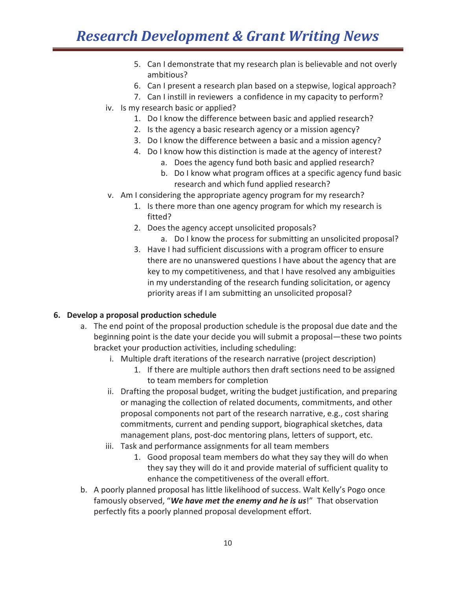- 5. Can I demonstrate that my research plan is believable and not overly ambitious?
- 6. Can I present a research plan based on a stepwise, logical approach?
- 7. Can I instill in reviewers a confidence in my capacity to perform?
- iv. Is my research basic or applied?
	- 1. Do I know the difference between basic and applied research?
	- 2. Is the agency a basic research agency or a mission agency?
	- 3. Do I know the difference between a basic and a mission agency?
	- 4. Do I know how this distinction is made at the agency of interest?
		- a. Does the agency fund both basic and applied research?
		- b. Do I know what program offices at a specific agency fund basic research and which fund applied research?
- v. Am I considering the appropriate agency program for my research?
	- 1. Is there more than one agency program for which my research is fitted?
	- 2. Does the agency accept unsolicited proposals?
		- a. Do I know the process for submitting an unsolicited proposal?
	- 3. Have I had sufficient discussions with a program officer to ensure there are no unanswered questions I have about the agency that are key to my competitiveness, and that I have resolved any ambiguities in my understanding of the research funding solicitation, or agency priority areas if I am submitting an unsolicited proposal?

#### **6. Develop a proposal production schedule**

- a. The end point of the proposal production schedule is the proposal due date and the beginning point is the date your decide you will submit a proposal—these two points bracket your production activities, including scheduling:
	- i. Multiple draft iterations of the research narrative (project description)
		- 1. If there are multiple authors then draft sections need to be assigned to team members for completion
	- ii. Drafting the proposal budget, writing the budget justification, and preparing or managing the collection of related documents, commitments, and other proposal components not part of the research narrative, e.g., cost sharing commitments, current and pending support, biographical sketches, data management plans, post-doc mentoring plans, letters of support, etc.
	- iii. Task and performance assignments for all team members
		- 1. Good proposal team members do what they say they will do when they say they will do it and provide material of sufficient quality to enhance the competitiveness of the overall effort.
- b. A poorly planned proposal has little likelihood of success. Walt Kelly's Pogo once famously observed, "*We have met the enemy and he is us*!" That observation perfectly fits a poorly planned proposal development effort.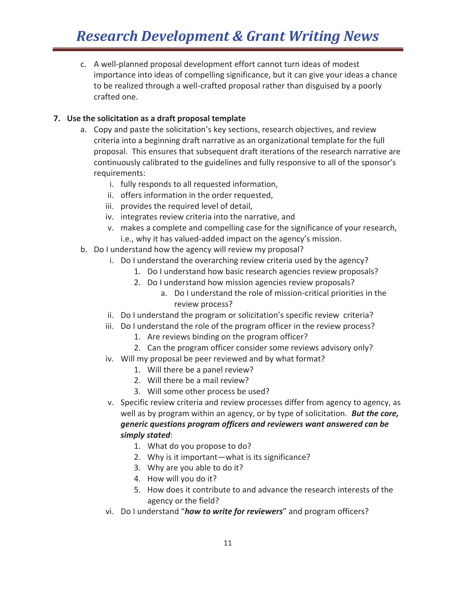c. A well-planned proposal development effort cannot turn ideas of modest importance into ideas of compelling significance, but it can give your ideas a chance to be realized through a well-crafted proposal rather than disguised by a poorly crafted one.

#### **7. Use the solicitation as a draft proposal template**

- a. Copy and paste the solicitation's key sections, research objectives, and review criteria into a beginning draft narrative as an organizational template for the full proposal. This ensures that subsequent draft iterations of the research narrative are continuously calibrated to the guidelines and fully responsive to all of the sponsor's requirements:
	- i. fully responds to all requested information,
	- ii. offers information in the order requested,
	- iii. provides the required level of detail,
	- iv. integrates review criteria into the narrative, and
	- v. makes a complete and compelling case for the significance of your research, i.e., why it has valued-added impact on the agency's mission.
- b. Do I understand how the agency will review my proposal?
	- i. Do I understand the overarching review criteria used by the agency?
		- 1. Do I understand how basic research agencies review proposals?
		- 2. Do I understand how mission agencies review proposals?
			- a. Do I understand the role of mission-critical priorities in the review process?
	- ii. Do I understand the program or solicitation's specific review criteria?
	- iii. Do I understand the role of the program officer in the review process?
		- 1. Are reviews binding on the program officer?
		- 2. Can the program officer consider some reviews advisory only?
	- iv. Will my proposal be peer reviewed and by what format?
		- 1. Will there be a panel review?
		- 2. Will there be a mail review?
		- 3. Will some other process be used?
	- v. Specific review criteria and review processes differ from agency to agency, as well as by program within an agency, or by type of solicitation. *But the core, generic questions program officers and reviewers want answered can be simply stated*:
		- 1. What do you propose to do?
		- 2. Why is it important—what is its significance?
		- 3. Why are you able to do it?
		- 4. How will you do it?
		- 5. How does it contribute to and advance the research interests of the agency or the field?
	- vi. Do I understand "*how to write for reviewers*" and program officers?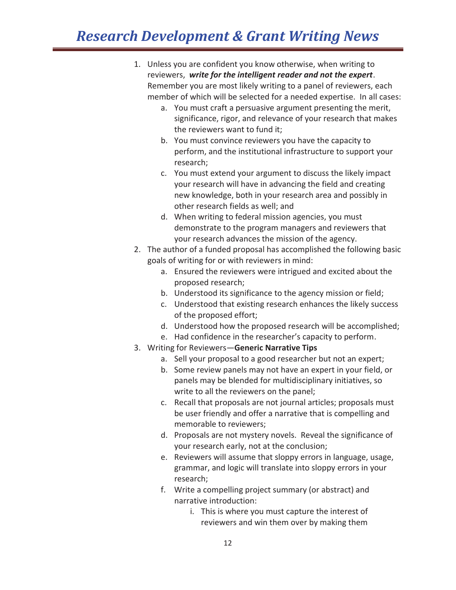- 1. Unless you are confident you know otherwise, when writing to reviewers, *write for the intelligent reader and not the expert*. Remember you are most likely writing to a panel of reviewers, each member of which will be selected for a needed expertise. In all cases:
	- a. You must craft a persuasive argument presenting the merit, significance, rigor, and relevance of your research that makes the reviewers want to fund it;
	- b. You must convince reviewers you have the capacity to perform, and the institutional infrastructure to support your research;
	- c. You must extend your argument to discuss the likely impact your research will have in advancing the field and creating new knowledge, both in your research area and possibly in other research fields as well; and
	- d. When writing to federal mission agencies, you must demonstrate to the program managers and reviewers that your research advances the mission of the agency.
- 2. The author of a funded proposal has accomplished the following basic goals of writing for or with reviewers in mind:
	- a. Ensured the reviewers were intrigued and excited about the proposed research;
	- b. Understood its significance to the agency mission or field;
	- c. Understood that existing research enhances the likely success of the proposed effort;
	- d. Understood how the proposed research will be accomplished;
	- e. Had confidence in the researcher's capacity to perform.
- 3. Writing for Reviewers—**Generic Narrative Tips**
	- a. Sell your proposal to a good researcher but not an expert;
	- b. Some review panels may not have an expert in your field, or panels may be blended for multidisciplinary initiatives, so write to all the reviewers on the panel;
	- c. Recall that proposals are not journal articles; proposals must be user friendly and offer a narrative that is compelling and memorable to reviewers;
	- d. Proposals are not mystery novels. Reveal the significance of your research early, not at the conclusion;
	- e. Reviewers will assume that sloppy errors in language, usage, grammar, and logic will translate into sloppy errors in your research;
	- f. Write a compelling project summary (or abstract) and narrative introduction:
		- i. This is where you must capture the interest of reviewers and win them over by making them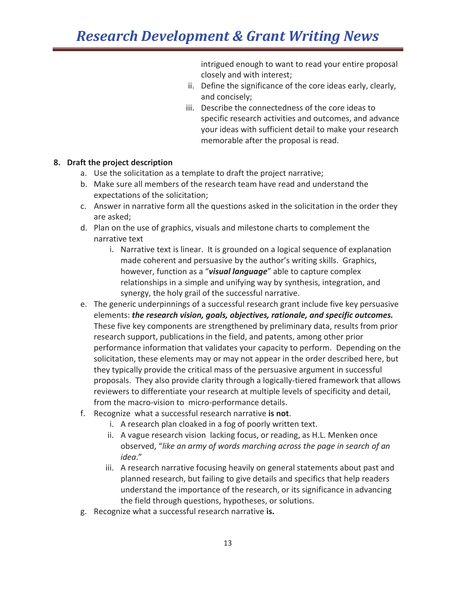intrigued enough to want to read your entire proposal closely and with interest;

- ii. Define the significance of the core ideas early, clearly, and concisely;
- iii. Describe the connectedness of the core ideas to specific research activities and outcomes, and advance your ideas with sufficient detail to make your research memorable after the proposal is read.

#### **8. Draft the project description**

- a. Use the solicitation as a template to draft the project narrative;
- b. Make sure all members of the research team have read and understand the expectations of the solicitation;
- c. Answer in narrative form all the questions asked in the solicitation in the order they are asked;
- d. Plan on the use of graphics, visuals and milestone charts to complement the narrative text
	- i. Narrative text is linear. It is grounded on a logical sequence of explanation made coherent and persuasive by the author's writing skills. Graphics, however, function as a "*visual language*" able to capture complex relationships in a simple and unifying way by synthesis, integration, and synergy, the holy grail of the successful narrative.
- e. The generic underpinnings of a successful research grant include five key persuasive elements: *the research vision, goals, objectives, rationale, and specific outcomes.* These five key components are strengthened by preliminary data, results from prior research support, publications in the field, and patents, among other prior performance information that validates your capacity to perform. Depending on the solicitation, these elements may or may not appear in the order described here, but they typically provide the critical mass of the persuasive argument in successful proposals. They also provide clarity through a logically-tiered framework that allows reviewers to differentiate your research at multiple levels of specificity and detail, from the macro-vision to micro-performance details.
- f. Recognize what a successful research narrative **is not**.
	- i. A research plan cloaked in a fog of poorly written text.
	- ii. A vague research vision lacking focus, or reading, as H.L. Menken once observed, "*like an army of words marching across the page in search of an idea*."
	- iii. A research narrative focusing heavily on general statements about past and planned research, but failing to give details and specifics that help readers understand the importance of the research, or its significance in advancing the field through questions, hypotheses, or solutions.
- g. Recognize what a successful research narrative **is.**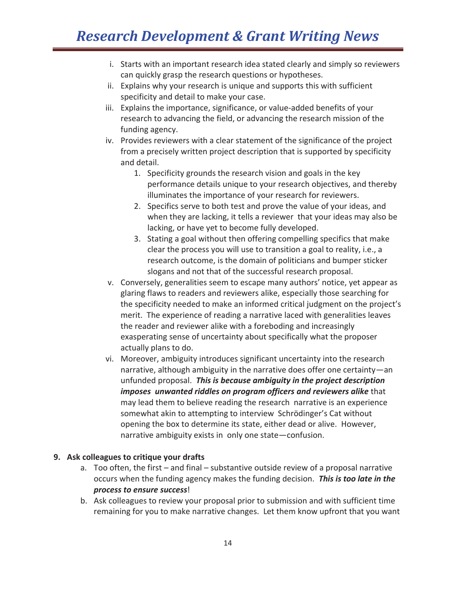- i. Starts with an important research idea stated clearly and simply so reviewers can quickly grasp the research questions or hypotheses.
- ii. Explains why your research is unique and supports this with sufficient specificity and detail to make your case.
- iii. Explains the importance, significance, or value-added benefits of your research to advancing the field, or advancing the research mission of the funding agency.
- iv. Provides reviewers with a clear statement of the significance of the project from a precisely written project description that is supported by specificity and detail.
	- 1. Specificity grounds the research vision and goals in the key performance details unique to your research objectives, and thereby illuminates the importance of your research for reviewers.
	- 2. Specifics serve to both test and prove the value of your ideas, and when they are lacking, it tells a reviewer that your ideas may also be lacking, or have yet to become fully developed.
	- 3. Stating a goal without then offering compelling specifics that make clear the process you will use to transition a goal to reality, i.e., a research outcome, is the domain of politicians and bumper sticker slogans and not that of the successful research proposal.
- v. Conversely, generalities seem to escape many authors' notice, yet appear as glaring flaws to readers and reviewers alike, especially those searching for the specificity needed to make an informed critical judgment on the project's merit. The experience of reading a narrative laced with generalities leaves the reader and reviewer alike with a foreboding and increasingly exasperating sense of uncertainty about specifically what the proposer actually plans to do.
- vi. Moreover, ambiguity introduces significant uncertainty into the research narrative, although ambiguity in the narrative does offer one certainty—an unfunded proposal. *This is because ambiguity in the project description imposes unwanted riddles on program officers and reviewers alike* that may lead them to believe reading the research narrative is an experience somewhat akin to attempting to interview Schrödinger's Cat without opening the box to determine its state, either dead or alive. However, narrative ambiguity exists in only one state—confusion.

#### **9. Ask colleagues to critique your drafts**

- a. Too often, the first and final substantive outside review of a proposal narrative occurs when the funding agency makes the funding decision. *This is too late in the process to ensure success*!
- b. Ask colleagues to review your proposal prior to submission and with sufficient time remaining for you to make narrative changes. Let them know upfront that you want